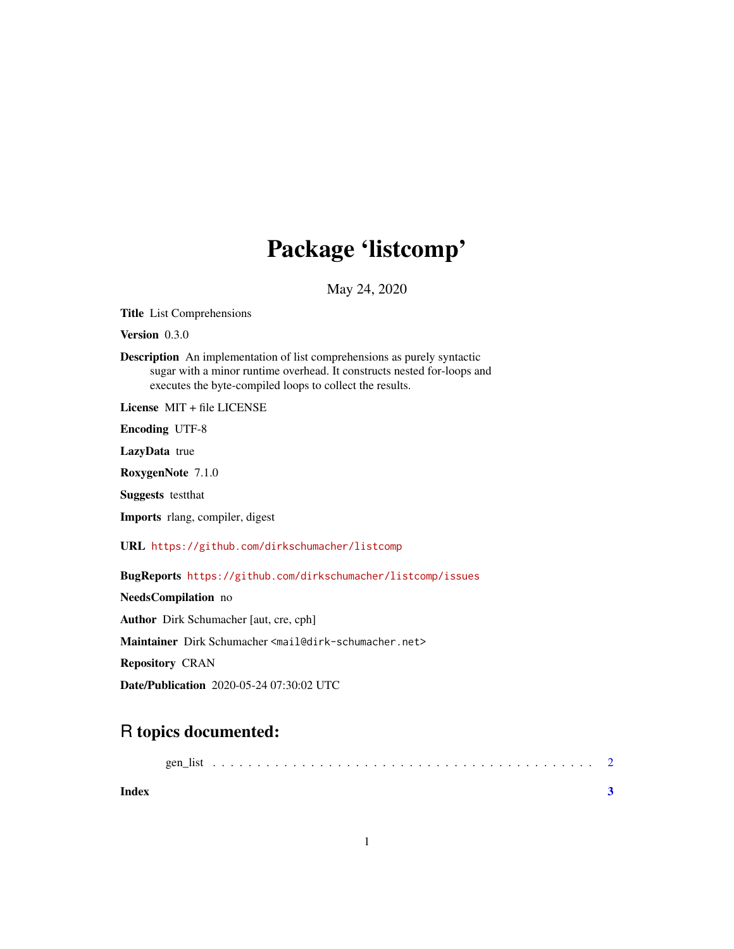## Package 'listcomp'

May 24, 2020

Title List Comprehensions

Version 0.3.0

Description An implementation of list comprehensions as purely syntactic sugar with a minor runtime overhead. It constructs nested for-loops and executes the byte-compiled loops to collect the results.

License MIT + file LICENSE

Encoding UTF-8

LazyData true

RoxygenNote 7.1.0

Suggests testthat

Imports rlang, compiler, digest

URL <https://github.com/dirkschumacher/listcomp>

BugReports <https://github.com/dirkschumacher/listcomp/issues>

NeedsCompilation no Author Dirk Schumacher [aut, cre, cph] Maintainer Dirk Schumacher <mail@dirk-schumacher.net> Repository CRAN Date/Publication 2020-05-24 07:30:02 UTC

### R topics documented:

|       | gen |  |  |  |  |  |  |  |  |  |  |  |  |  |  |  |  |  |  |
|-------|-----|--|--|--|--|--|--|--|--|--|--|--|--|--|--|--|--|--|--|
| Index |     |  |  |  |  |  |  |  |  |  |  |  |  |  |  |  |  |  |  |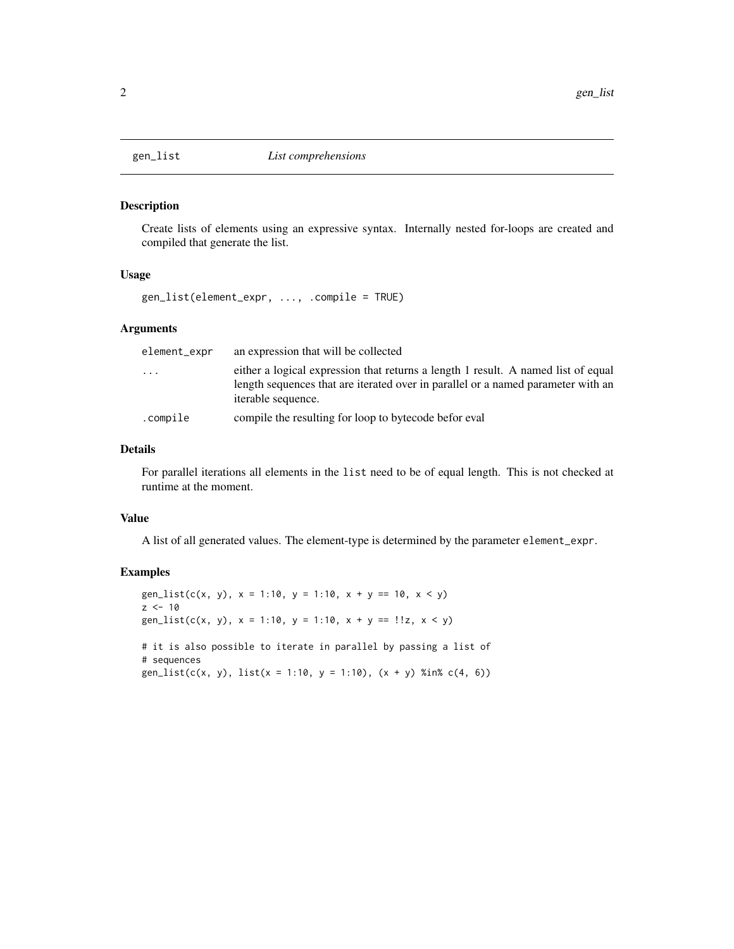<span id="page-1-0"></span>

#### Description

Create lists of elements using an expressive syntax. Internally nested for-loops are created and compiled that generate the list.

#### Usage

gen\_list(element\_expr, ..., .compile = TRUE)

#### Arguments

| element_expr | an expression that will be collected                                                                                                                                                        |
|--------------|---------------------------------------------------------------------------------------------------------------------------------------------------------------------------------------------|
| .            | either a logical expression that returns a length 1 result. A named list of equal<br>length sequences that are iterated over in parallel or a named parameter with an<br>iterable sequence. |
| .compile     | compile the resulting for loop to bytecode before val                                                                                                                                       |

#### Details

For parallel iterations all elements in the list need to be of equal length. This is not checked at runtime at the moment.

#### Value

A list of all generated values. The element-type is determined by the parameter element\_expr.

#### Examples

```
gen_list(c(x, y), x = 1:10, y = 1:10, x + y == 10, x < y)
z < -10gen_list(c(x, y), x = 1:10, y = 1:10, x + y == !!z, x < y)
# it is also possible to iterate in parallel by passing a list of
# sequences
gen_list(c(x, y), list(x = 1:10, y = 1:10), (x + y) %in% c(4, 6))
```